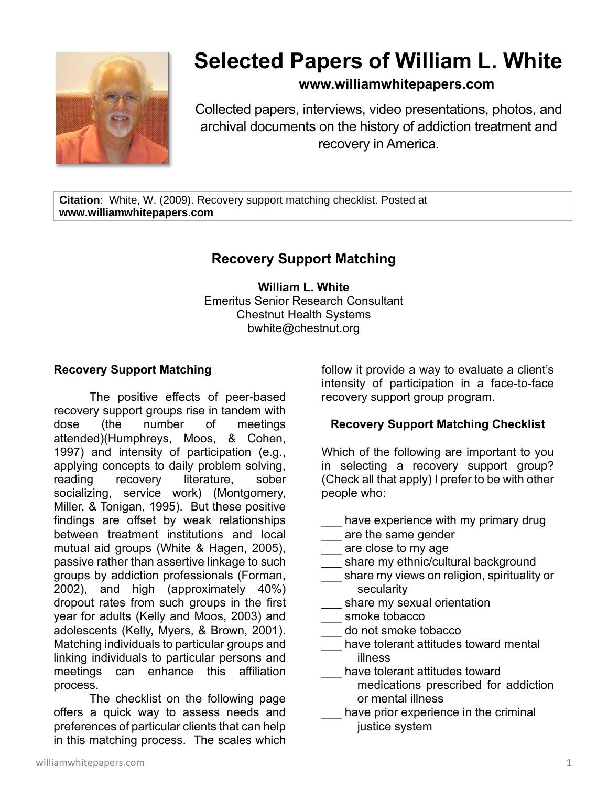

# **Selected Papers of William L. White**

### **www.williamwhitepapers.com**

Collected papers, interviews, video presentations, photos, and archival documents on the history of addiction treatment and recovery in America.

**Citation**: White, W. (2009). Recovery support matching checklist. Posted at **www.williamwhitepapers.com**

## **Recovery Support Matching**

**William L. White** Emeritus Senior Research Consultant Chestnut Health Systems bwhite@chestnut.org

#### **Recovery Support Matching**

The positive effects of peer-based recovery support groups rise in tandem with dose (the number of meetings attended)(Humphreys, Moos, & Cohen, 1997) and intensity of participation (e.g., applying concepts to daily problem solving, reading recovery literature, sober socializing, service work) (Montgomery, Miller, & Tonigan, 1995). But these positive findings are offset by weak relationships between treatment institutions and local mutual aid groups (White & Hagen, 2005), passive rather than assertive linkage to such groups by addiction professionals (Forman, 2002), and high (approximately 40%) dropout rates from such groups in the first year for adults (Kelly and Moos, 2003) and adolescents (Kelly, Myers, & Brown, 2001). Matching individuals to particular groups and linking individuals to particular persons and meetings can enhance this affiliation process.

The checklist on the following page offers a quick way to assess needs and preferences of particular clients that can help in this matching process. The scales which follow it provide a way to evaluate a client's intensity of participation in a face-to-face recovery support group program.

#### **Recovery Support Matching Checklist**

Which of the following are important to you in selecting a recovery support group? (Check all that apply) I prefer to be with other people who:

- have experience with my primary drug
- **Lettary** are the same gender
- $\frac{1}{\sqrt{2}}$  are close to my age
- share my ethnic/cultural background
- share my views on religion, spirituality or secularity
- share my sexual orientation
- smoke tobacco
- \_\_\_ do not smoke tobacco
- have tolerant attitudes toward mental illness
- have tolerant attitudes toward
	- medications prescribed for addiction or mental illness
- have prior experience in the criminal justice system